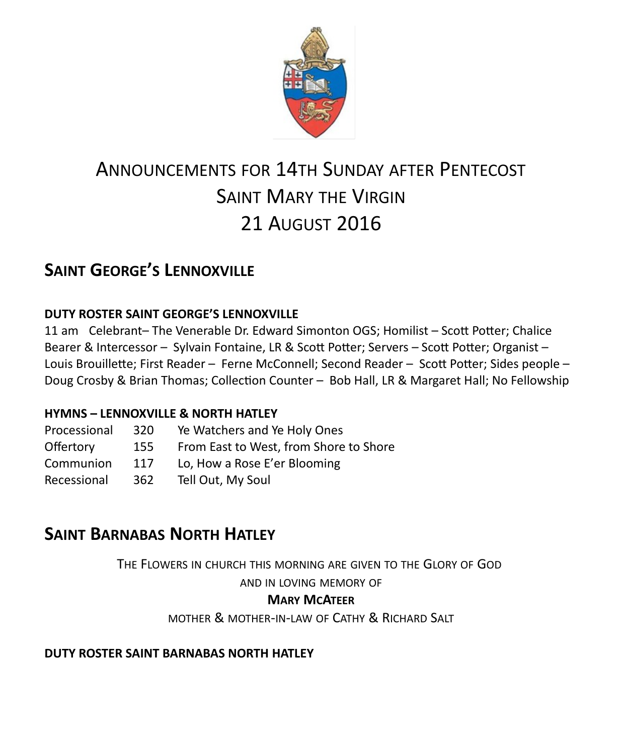

# ANNOUNCEMENTS FOR 14TH SUNDAY AFTER PENTECOST SAINT MARY THE VIRGIN 21 AUGUST 2016

# **SAINT GEORGE'S LENNOXVILLE**

### **DUTY ROSTER SAINT GEORGE'S LENNOXVILLE**

11 am Celebrant– The Venerable Dr. Edward Simonton OGS; Homilist – Scott Potter; Chalice Bearer & Intercessor – Sylvain Fontaine, LR & Scott Potter; Servers – Scott Potter; Organist – Louis Brouillette; First Reader – Ferne McConnell; Second Reader – Scott Potter; Sides people – Doug Crosby & Brian Thomas; Collection Counter – Bob Hall, LR & Margaret Hall; No Fellowship

#### **HYMNS – LENNOXVILLE & NORTH HATLEY**

| Processional | 320 | Ye Watchers and Ye Holy Ones           |
|--------------|-----|----------------------------------------|
| Offertory    | 155 | From East to West, from Shore to Shore |
| Communion    | 117 | Lo, How a Rose E'er Blooming           |
| Recessional  | 362 | Tell Out, My Soul                      |

# **SAINT BARNABAS NORTH HATLEY**

THE FLOWERS IN CHURCH THIS MORNING ARE GIVEN TO THE GLORY OF GOD

AND IN LOVING MEMORY OF

### **MARY MCATEER**

MOTHER & MOTHER-IN-LAW OF CATHY & RICHARD SALT

#### **DUTY ROSTER SAINT BARNABAS NORTH HATLEY**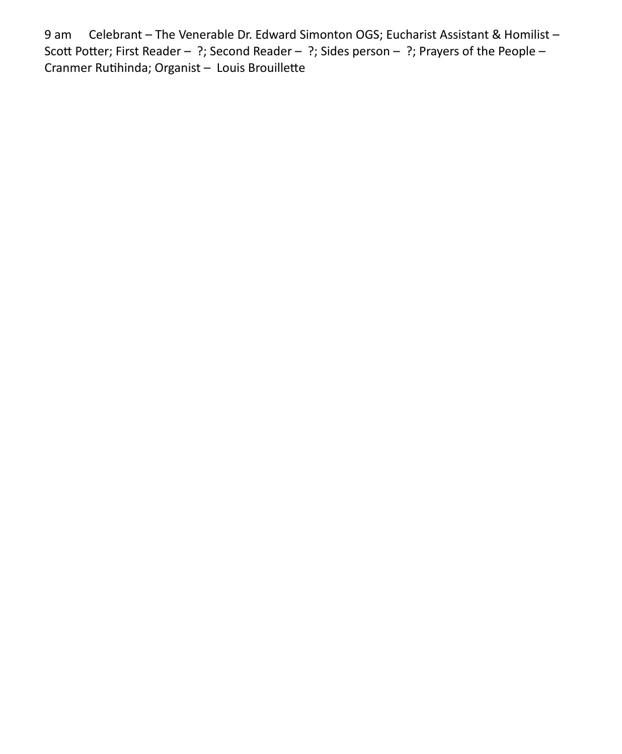9 am Celebrant – The Venerable Dr. Edward Simonton OGS; Eucharist Assistant & Homilist – Scott Potter; First Reader – ?; Second Reader – ?; Sides person – ?; Prayers of the People – Cranmer Rutihinda; Organist – Louis Brouillette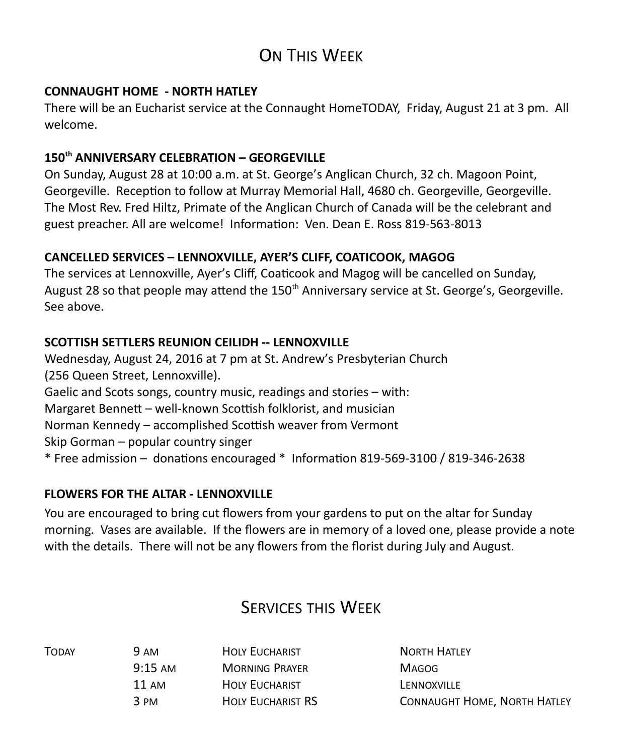# ON THIS WEEK

#### **CONNAUGHT HOME - NORTH HATLEY**

There will be an Eucharist service at the Connaught HomeTODAY, Friday, August 21 at 3 pm. All welcome.

### **150th ANNIVERSARY CELEBRATION – GEORGEVILLE**

On Sunday, August 28 at 10:00 a.m. at St. George's Anglican Church, 32 ch. Magoon Point, Georgeville. Reception to follow at Murray Memorial Hall, 4680 ch. Georgeville, Georgeville. The Most Rev. Fred Hiltz, Primate of the Anglican Church of Canada will be the celebrant and guest preacher. All are welcome! Information: Ven. Dean E. Ross 819-563-8013

### **CANCELLED SERVICES – LENNOXVILLE, AYER'S CLIFF, COATICOOK, MAGOG**

The services at Lennoxville, Ayer's Cliff, Coaticook and Magog will be cancelled on Sunday, August 28 so that people may attend the 150<sup>th</sup> Anniversary service at St. George's, Georgeville. See above.

### **SCOTTISH SETTLERS REUNION CEILIDH -- LENNOXVILLE**

Wednesday, August 24, 2016 at 7 pm at St. Andrew's Presbyterian Church (256 Queen Street, Lennoxville). Gaelic and Scots songs, country music, readings and stories – with: Margaret Bennett – well-known Scottish folklorist, and musician Norman Kennedy – accomplished Scottish weaver from Vermont Skip Gorman – popular country singer \* Free admission – donations encouraged \* Information 819-569-3100 / 819-346-2638

### **FLOWERS FOR THE ALTAR - LENNOXVILLE**

You are encouraged to bring cut flowers from your gardens to put on the altar for Sunday morning. Vases are available. If the flowers are in memory of a loved one, please provide a note with the details. There will not be any flowers from the florist during July and August.

# SERVICES THIS WEEK

TODAY 9 AM HOLY EUCHARIST NORTH HATLEY 9:15 AM MORNING PRAYER MAGOG 11 AM **HOLY EUCHARIST LENNOXVILLE** 

3 PM HOLY EUCHARIST RS CONNAUGHT HOME, NORTH HATLEY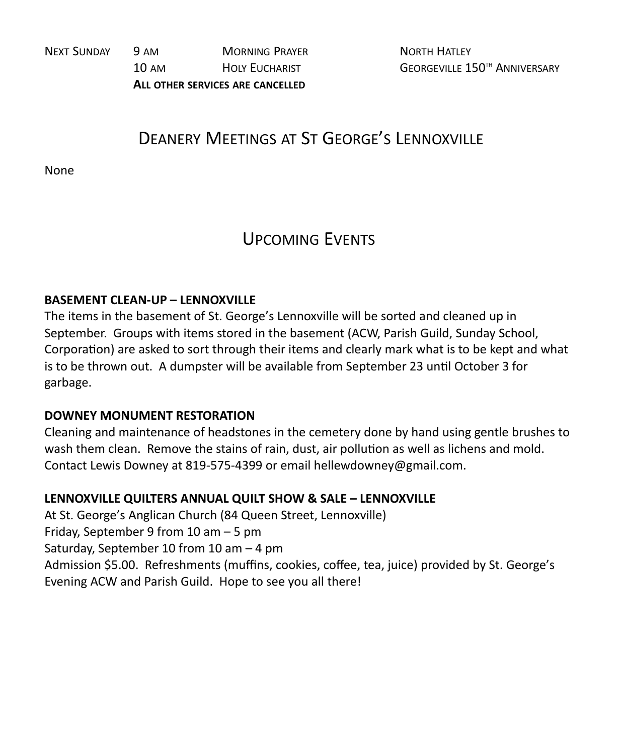NEXT SUNDAY 9 AM MORNING PRAYER NORTH HATLEY 10 AM HOLY FUCHARIST GEORGEVILLE 150<sup>TH</sup> ANNIVERSARY **ALL OTHER SERVICES ARE CANCELLED**

# DEANERY MEETINGS AT ST GEORGE'S LENNOXVILLE

None

# UPCOMING EVENTS

#### **BASEMENT CLEAN-UP – LENNOXVILLE**

The items in the basement of St. George's Lennoxville will be sorted and cleaned up in September. Groups with items stored in the basement (ACW, Parish Guild, Sunday School, Corporation) are asked to sort through their items and clearly mark what is to be kept and what is to be thrown out. A dumpster will be available from September 23 until October 3 for garbage.

#### **DOWNEY MONUMENT RESTORATION**

Cleaning and maintenance of headstones in the cemetery done by hand using gentle brushes to wash them clean. Remove the stains of rain, dust, air pollution as well as lichens and mold. Contact Lewis Downey at 819-575-4399 or email hellewdowney@gmail.com.

#### **LENNOXVILLE QUILTERS ANNUAL QUILT SHOW & SALE – LENNOXVILLE**

At St. George's Anglican Church (84 Queen Street, Lennoxville) Friday, September 9 from 10 am – 5 pm Saturday, September 10 from 10 am – 4 pm Admission \$5.00. Refreshments (muffins, cookies, coffee, tea, juice) provided by St. George's Evening ACW and Parish Guild. Hope to see you all there!